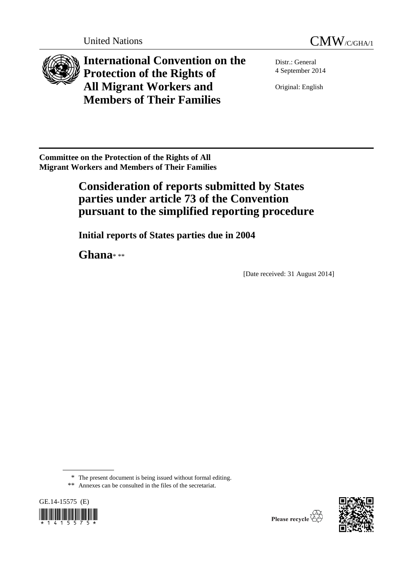



**International Convention on the Protection of the Rights of All Migrant Workers and Members of Their Families**

Distr.: General 4 September 2014

Original: English

**Committee on the Protection of the Rights of All Migrant Workers and Members of Their Families** 

# **Consideration of reports submitted by States parties under article 73 of the Convention pursuant to the simplified reporting procedure**

**Initial reports of States parties due in 2004**

**Ghana**\* \*\*

[Date received: 31 August 2014]

\*\* Annexes can be consulted in the files of the secretariat.

GE.14-15575 (E) 



<sup>\*</sup> The present document is being issued without formal editing.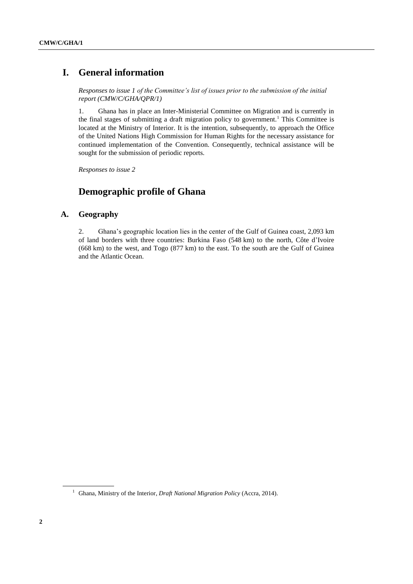# **I. General information**

*Responses to issue 1 of the Committee's list of issues prior to the submission of the initial report (CMW/C/GHA/QPR/1)*

1. Ghana has in place an Inter-Ministerial Committee on Migration and is currently in the final stages of submitting a draft migration policy to government.<sup>1</sup> This Committee is located at the Ministry of Interior. It is the intention, subsequently, to approach the Office of the United Nations High Commission for Human Rights for the necessary assistance for continued implementation of the Convention. Consequently, technical assistance will be sought for the submission of periodic reports.

*Responses to issue 2*

# **Demographic profile of Ghana**

# **A. Geography**

2. Ghana's geographic location lies in the center of the Gulf of Guinea coast, 2,093 km of land borders with three countries: Burkina Faso (548 km) to the north, Côte d'Ivoire (668 km) to the west, and Togo (877 km) to the east. To the south are the Gulf of Guinea and the Atlantic Ocean.

<sup>&</sup>lt;sup>1</sup> Ghana, Ministry of the Interior, *Draft National Migration Policy* (Accra, 2014).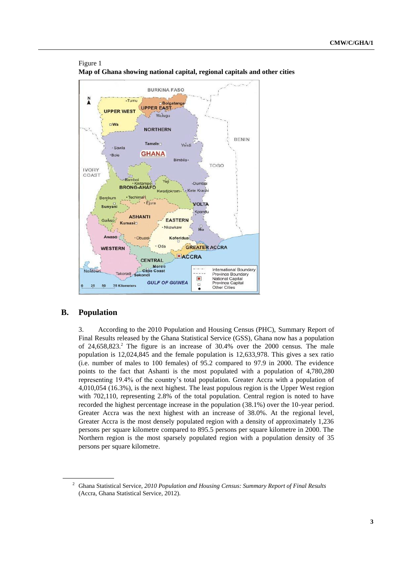

# **Map of Ghana showing national capital, regional capitals and other cities**

# **B. Population**

Figure 1

3. According to the 2010 Population and Housing Census (PHC), Summary Report of Final Results released by the Ghana Statistical Service (GSS), Ghana now has a population of  $24,658,823$ <sup>2</sup>. The figure is an increase of  $30.4%$  over the  $2000$  census. The male population is 12,024,845 and the female population is 12,633,978. This gives a sex ratio (i.e. number of males to 100 females) of 95.2 compared to 97.9 in 2000. The evidence points to the fact that Ashanti is the most populated with a population of 4,780,280 representing 19.4% of the country's total population. Greater Accra with a population of 4,010,054 (16.3%), is the next highest. The least populous region is the Upper West region with 702,110, representing 2.8% of the total population. Central region is noted to have recorded the highest percentage increase in the population (38.1%) over the 10-year period. Greater Accra was the next highest with an increase of 38.0%. At the regional level, Greater Accra is the most densely populated region with a density of approximately 1,236 persons per square kilometre compared to 895.5 persons per square kilometre in 2000. The Northern region is the most sparsely populated region with a population density of 35 persons per square kilometre.

<sup>2</sup> Ghana Statistical Service, *2010 Population and Housing Census: Summary Report of Final Results* (Accra, Ghana Statistical Service, 2012).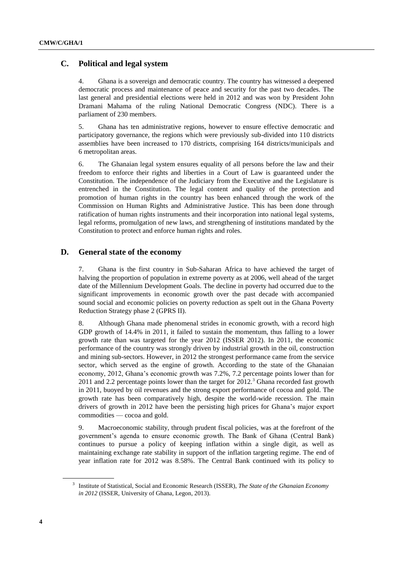# **C. Political and legal system**

4. Ghana is a sovereign and democratic country. The country has witnessed a deepened democratic process and maintenance of peace and security for the past two decades. The last general and presidential elections were held in 2012 and was won by President John Dramani Mahama of the ruling National Democratic Congress (NDC). There is a parliament of 230 members.

5. Ghana has ten administrative regions, however to ensure effective democratic and participatory governance, the regions which were previously sub-divided into 110 districts assemblies have been increased to 170 districts, comprising 164 districts/municipals and 6 metropolitan areas.

6. The Ghanaian legal system ensures equality of all persons before the law and their freedom to enforce their rights and liberties in a Court of Law is guaranteed under the Constitution. The independence of the Judiciary from the Executive and the Legislature is entrenched in the Constitution. The legal content and quality of the protection and promotion of human rights in the country has been enhanced through the work of the Commission on Human Rights and Administrative Justice. This has been done through ratification of human rights instruments and their incorporation into national legal systems, legal reforms, promulgation of new laws, and strengthening of institutions mandated by the Constitution to protect and enforce human rights and roles.

# **D. General state of the economy**

7. Ghana is the first country in Sub-Saharan Africa to have achieved the target of halving the proportion of population in extreme poverty as at 2006, well ahead of the target date of the Millennium Development Goals. The decline in poverty had occurred due to the significant improvements in economic growth over the past decade with accompanied sound social and economic policies on poverty reduction as spelt out in the Ghana Poverty Reduction Strategy phase 2 (GPRS II).

8. Although Ghana made phenomenal strides in economic growth, with a record high GDP growth of 14.4% in 2011, it failed to sustain the momentum, thus falling to a lower growth rate than was targeted for the year 2012 (ISSER 2012). In 2011, the economic performance of the country was strongly driven by industrial growth in the oil, construction and mining sub-sectors. However, in 2012 the strongest performance came from the service sector, which served as the engine of growth. According to the state of the Ghanaian economy, 2012, Ghana's economic growth was 7.2%, 7.2 percentage points lower than for 2011 and 2.2 percentage points lower than the target for 2012.<sup>3</sup> Ghana recorded fast growth in 2011, buoyed by oil revenues and the strong export performance of cocoa and gold. The growth rate has been comparatively high, despite the world-wide recession. The main drivers of growth in 2012 have been the persisting high prices for Ghana's major export commodities — cocoa and gold.

9. Macroeconomic stability, through prudent fiscal policies, was at the forefront of the government's agenda to ensure economic growth. The Bank of Ghana (Central Bank) continues to pursue a policy of keeping inflation within a single digit, as well as maintaining exchange rate stability in support of the inflation targeting regime. The end of year inflation rate for 2012 was 8.58%. The Central Bank continued with its policy to

<sup>3</sup> Institute of Statistical, Social and Economic Research (ISSER), *The State of the Ghanaian Economy in 2012* (ISSER, University of Ghana, Legon, 2013).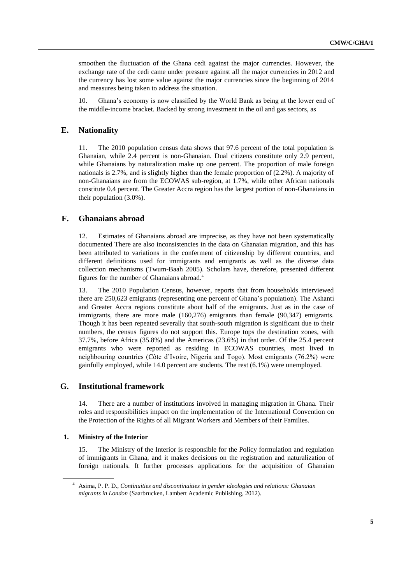smoothen the fluctuation of the Ghana cedi against the major currencies. However, the exchange rate of the cedi came under pressure against all the major currencies in 2012 and the currency has lost some value against the major currencies since the beginning of 2014 and measures being taken to address the situation.

10. Ghana's economy is now classified by the World Bank as being at the lower end of the middle-income bracket. Backed by strong investment in the oil and gas sectors, as

# **E. Nationality**

11. The 2010 population census data shows that 97.6 percent of the total population is Ghanaian, while 2.4 percent is non-Ghanaian. Dual citizens constitute only 2.9 percent, while Ghanaians by naturalization make up one percent. The proportion of male foreign nationals is 2.7%, and is slightly higher than the female proportion of (2.2%). A majority of non-Ghanaians are from the ECOWAS sub-region, at 1.7%, while other African nationals constitute 0.4 percent. The Greater Accra region has the largest portion of non-Ghanaians in their population (3.0%).

# **F. Ghanaians abroad**

12. Estimates of Ghanaians abroad are imprecise, as they have not been systematically documented There are also inconsistencies in the data on Ghanaian migration, and this has been attributed to variations in the conferment of citizenship by different countries, and different definitions used for immigrants and emigrants as well as the diverse data collection mechanisms (Twum-Baah 2005). Scholars have, therefore, presented different figures for the number of Ghanaians abroad.<sup>4</sup>

13. The 2010 Population Census, however, reports that from households interviewed there are 250,623 emigrants (representing one percent of Ghana's population). The Ashanti and Greater Accra regions constitute about half of the emigrants. Just as in the case of immigrants, there are more male (160,276) emigrants than female (90,347) emigrants. Though it has been repeated severally that south-south migration is significant due to their numbers, the census figures do not support this. Europe tops the destination zones, with 37.7%, before Africa (35.8%) and the Americas (23.6%) in that order. Of the 25.4 percent emigrants who were reported as residing in ECOWAS countries, most lived in neighbouring countries (Côte d'Ivoire, Nigeria and Togo). Most emigrants (76.2%) were gainfully employed, while 14.0 percent are students. The rest (6.1%) were unemployed.

# **G. Institutional framework**

14. There are a number of institutions involved in managing migration in Ghana. Their roles and responsibilities impact on the implementation of the International Convention on the Protection of the Rights of all Migrant Workers and Members of their Families.

### **1. Ministry of the Interior**

The Ministry of the Interior is responsible for the Policy formulation and regulation of immigrants in Ghana, and it makes decisions on the registration and naturalization of foreign nationals. It further processes applications for the acquisition of Ghanaian

<sup>4</sup> Asima, P. P. D., *Continuities and discontinuities in gender ideologies and relations: Ghanaian migrants in London* (Saarbrucken, Lambert Academic Publishing, 2012).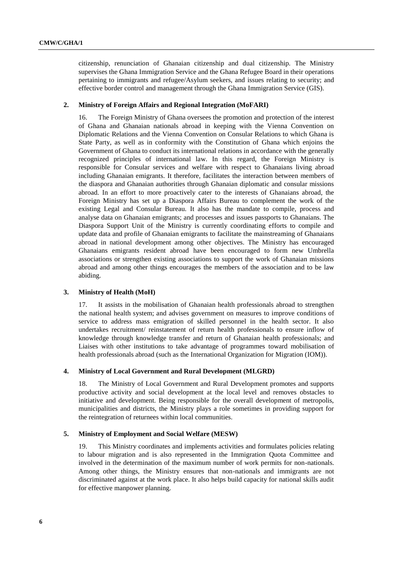citizenship, renunciation of Ghanaian citizenship and dual citizenship. The Ministry supervises the Ghana Immigration Service and the Ghana Refugee Board in their operations pertaining to immigrants and refugee/Asylum seekers, and issues relating to security; and effective border control and management through the Ghana Immigration Service (GIS).

### **2. Ministry of Foreign Affairs and Regional Integration (MoFARI)**

16. The Foreign Ministry of Ghana oversees the promotion and protection of the interest of Ghana and Ghanaian nationals abroad in keeping with the Vienna Convention on Diplomatic Relations and the Vienna Convention on Consular Relations to which Ghana is State Party, as well as in conformity with the Constitution of Ghana which enjoins the Government of Ghana to conduct its international relations in accordance with the generally recognized principles of international law. In this regard, the Foreign Ministry is responsible for Consular services and welfare with respect to Ghanaians living abroad including Ghanaian emigrants. It therefore, facilitates the interaction between members of the diaspora and Ghanaian authorities through Ghanaian diplomatic and consular missions abroad. In an effort to more proactively cater to the interests of Ghanaians abroad, the Foreign Ministry has set up a Diaspora Affairs Bureau to complement the work of the existing Legal and Consular Bureau. It also has the mandate to compile, process and analyse data on Ghanaian emigrants; and processes and issues passports to Ghanaians. The Diaspora Support Unit of the Ministry is currently coordinating efforts to compile and update data and profile of Ghanaian emigrants to facilitate the mainstreaming of Ghanaians abroad in national development among other objectives. The Ministry has encouraged Ghanaians emigrants resident abroad have been encouraged to form new Umbrella associations or strengthen existing associations to support the work of Ghanaian missions abroad and among other things encourages the members of the association and to be law abiding.

# **3. Ministry of Health (MoH)**

17. It assists in the mobilisation of Ghanaian health professionals abroad to strengthen the national health system; and advises government on measures to improve conditions of service to address mass emigration of skilled personnel in the health sector. It also undertakes recruitment/ reinstatement of return health professionals to ensure inflow of knowledge through knowledge transfer and return of Ghanaian health professionals; and Liaises with other institutions to take advantage of programmes toward mobilisation of health professionals abroad (such as the International Organization for Migration (IOM)).

### **4. Ministry of Local Government and Rural Development (MLGRD)**

18. The Ministry of Local Government and Rural Development promotes and supports productive activity and social development at the local level and removes obstacles to initiative and development. Being responsible for the overall development of metropolis, municipalities and districts, the Ministry plays a role sometimes in providing support for the reintegration of returnees within local communities.

### **5. Ministry of Employment and Social Welfare (MESW)**

19. This Ministry coordinates and implements activities and formulates policies relating to labour migration and is also represented in the Immigration Quota Committee and involved in the determination of the maximum number of work permits for non-nationals. Among other things, the Ministry ensures that non-nationals and immigrants are not discriminated against at the work place. It also helps build capacity for national skills audit for effective manpower planning.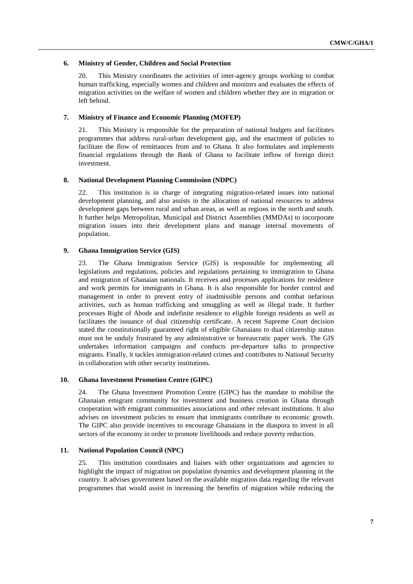### **6. Ministry of Gender, Children and Social Protection**

20. This Ministry coordinates the activities of inter-agency groups working to combat human trafficking, especially women and children and monitors and evaluates the effects of migration activities on the welfare of women and children whether they are in migration or left behind.

# **7. Ministry of Finance and Economic Planning (MOFEP)**

21. This Ministry is responsible for the preparation of national budgets and facilitates programmes that address rural-urban development gap, and the enactment of policies to facilitate the flow of remittances from and to Ghana. It also formulates and implements financial regulations through the Bank of Ghana to facilitate inflow of foreign direct investment.

## **8. National Development Planning Commission (NDPC)**

22. This institution is in charge of integrating migration-related issues into national development planning, and also assists in the allocation of national resources to address development gaps between rural and urban areas, as well as regions in the north and south. It further helps Metropolitan, Municipal and District Assemblies (MMDAs) to incorporate migration issues into their development plans and manage internal movements of population.

### **9. Ghana Immigration Service (GIS)**

23. The Ghana Immigration Service (GIS) is responsible for implementing all legislations and regulations, policies and regulations pertaining to immigration to Ghana and emigration of Ghanaian nationals. It receives and processes applications for residence and work permits for immigrants in Ghana. It is also responsible for border control and management in order to prevent entry of inadmissible persons and combat nefarious activities, such as human trafficking and smuggling as well as illegal trade. It further processes Right of Abode and indefinite residence to eligible foreign residents as well as facilitates the issuance of dual citizenship certificate. A recent Supreme Court decision stated the constitutionally guaranteed right of eligible Ghanaians to dual citizenship status must not be unduly frustrated by any administrative or bureaucratic paper work. The GIS undertakes information campaigns and conducts pre-departure talks to prospective migrants. Finally, it tackles immigration-related crimes and contributes to National Security in collaboration with other security institutions.

# **10. Ghana Investment Promotion Centre (GIPC)**

24. The Ghana Investment Promotion Centre (GIPC) has the mandate to mobilise the Ghanaian emigrant community for investment and business creation in Ghana through cooperation with emigrant communities associations and other relevant institutions. It also advises on investment policies to ensure that immigrants contribute to economic growth. The GIPC also provide incentives to encourage Ghanaians in the diaspora to invest in all sectors of the economy in order to promote livelihoods and reduce poverty reduction.

### **11. National Population Council (NPC)**

25. This institution coordinates and liaises with other organizations and agencies to highlight the impact of migration on population dynamics and development planning in the country. It advises government based on the available migration data regarding the relevant programmes that would assist in increasing the benefits of migration while reducing the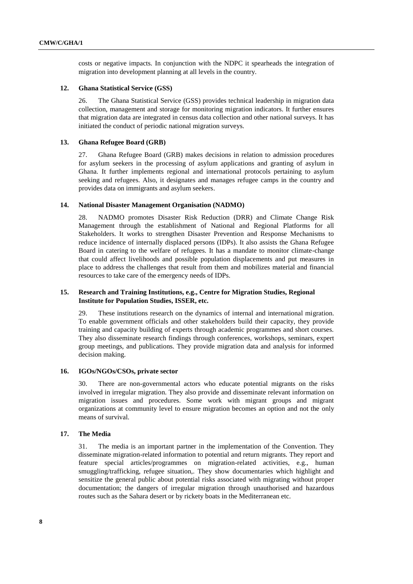costs or negative impacts. In conjunction with the NDPC it spearheads the integration of migration into development planning at all levels in the country.

# **12. Ghana Statistical Service (GSS)**

26. The Ghana Statistical Service (GSS) provides technical leadership in migration data collection, management and storage for monitoring migration indicators. It further ensures that migration data are integrated in census data collection and other national surveys. It has initiated the conduct of periodic national migration surveys.

# **13. Ghana Refugee Board (GRB)**

27. Ghana Refugee Board (GRB) makes decisions in relation to admission procedures for asylum seekers in the processing of asylum applications and granting of asylum in Ghana. It further implements regional and international protocols pertaining to asylum seeking and refugees. Also, it designates and manages refugee camps in the country and provides data on immigrants and asylum seekers.

### **14. National Disaster Management Organisation (NADMO)**

28. NADMO promotes Disaster Risk Reduction (DRR) and Climate Change Risk Management through the establishment of National and Regional Platforms for all Stakeholders. It works to strengthen Disaster Prevention and Response Mechanisms to reduce incidence of internally displaced persons (IDPs). It also assists the Ghana Refugee Board in catering to the welfare of refugees. It has a mandate to monitor climate-change that could affect livelihoods and possible population displacements and put measures in place to address the challenges that result from them and mobilizes material and financial resources to take care of the emergency needs of IDPs.

# **15. Research and Training Institutions, e.g., Centre for Migration Studies, Regional Institute for Population Studies, ISSER, etc.**

29. These institutions research on the dynamics of internal and international migration. To enable government officials and other stakeholders build their capacity, they provide training and capacity building of experts through academic programmes and short courses. They also disseminate research findings through conferences, workshops, seminars, expert group meetings, and publications. They provide migration data and analysis for informed decision making.

### **16. IGOs/NGOs/CSOs, private sector**

30. There are non-governmental actors who educate potential migrants on the risks involved in irregular migration. They also provide and disseminate relevant information on migration issues and procedures. Some work with migrant groups and migrant organizations at community level to ensure migration becomes an option and not the only means of survival.

### **17. The Media**

31. The media is an important partner in the implementation of the Convention. They disseminate migration-related information to potential and return migrants. They report and feature special articles/programmes on migration-related activities, e.g., human smuggling/trafficking, refugee situation,. They show documentaries which highlight and sensitize the general public about potential risks associated with migrating without proper documentation; the dangers of irregular migration through unauthorised and hazardous routes such as the Sahara desert or by rickety boats in the Mediterranean etc.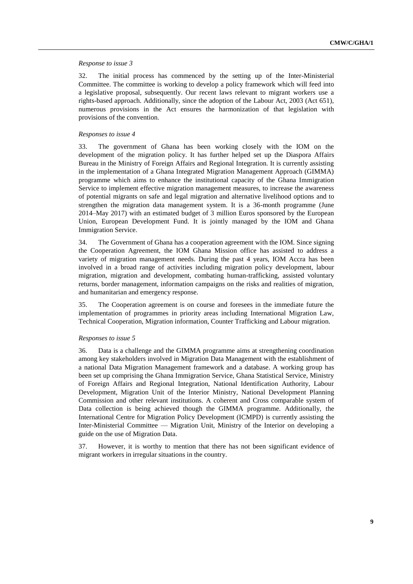### *Response to issue 3*

32. The initial process has commenced by the setting up of the Inter-Ministerial Committee. The committee is working to develop a policy framework which will feed into a legislative proposal, subsequently. Our recent laws relevant to migrant workers use a rights-based approach. Additionally, since the adoption of the Labour Act, 2003 (Act 651), numerous provisions in the Act ensures the harmonization of that legislation with provisions of the convention.

### *Responses to issue 4*

33. The government of Ghana has been working closely with the IOM on the development of the migration policy. It has further helped set up the Diaspora Affairs Bureau in the Ministry of Foreign Affairs and Regional Integration. It is currently assisting in the implementation of a Ghana Integrated Migration Management Approach (GIMMA) programme which aims to enhance the institutional capacity of the Ghana Immigration Service to implement effective migration management measures, to increase the awareness of potential migrants on safe and legal migration and alternative livelihood options and to strengthen the migration data management system. It is a 36-month programme (June 2014–May 2017) with an estimated budget of 3 million Euros sponsored by the European Union, European Development Fund. It is jointly managed by the IOM and Ghana Immigration Service.

34. The Government of Ghana has a cooperation agreement with the IOM. Since signing the Cooperation Agreement, the IOM Ghana Mission office has assisted to address a variety of migration management needs. During the past 4 years, IOM Accra has been involved in a broad range of activities including migration policy development, labour migration, migration and development, combating human-trafficking, assisted voluntary returns, border management, information campaigns on the risks and realities of migration, and humanitarian and emergency response.

35. The Cooperation agreement is on course and foresees in the immediate future the implementation of programmes in priority areas including International Migration Law, Technical Cooperation, Migration information, Counter Trafficking and Labour migration.

#### *Responses to issue 5*

36. Data is a challenge and the GIMMA programme aims at strengthening coordination among key stakeholders involved in Migration Data Management with the establishment of a national Data Migration Management framework and a database. A working group has been set up comprising the Ghana Immigration Service, Ghana Statistical Service, Ministry of Foreign Affairs and Regional Integration, National Identification Authority, Labour Development, Migration Unit of the Interior Ministry, National Development Planning Commission and other relevant institutions. A coherent and Cross comparable system of Data collection is being achieved though the GIMMA programme. Additionally, the International Centre for Migration Policy Development (ICMPD) is currently assisting the Inter-Ministerial Committee — Migration Unit, Ministry of the Interior on developing a guide on the use of Migration Data.

37. However, it is worthy to mention that there has not been significant evidence of migrant workers in irregular situations in the country.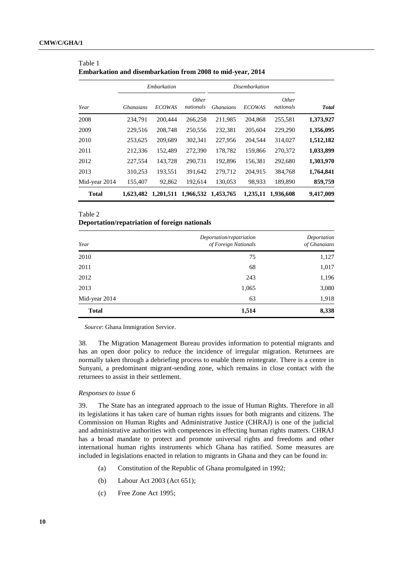|               | Embarkation      |               |                           | <b>Disembarkation</b> |               |                    |              |
|---------------|------------------|---------------|---------------------------|-----------------------|---------------|--------------------|--------------|
| Year          | <b>Ghanaians</b> | <b>ECOWAS</b> | <i>Other</i><br>nationals | <i>Ghanaians</i>      | <b>ECOWAS</b> | Other<br>nationals | <b>Total</b> |
| 2008          | 234.791          | 200,444       | 266,258                   | 211,985               | 204.868       | 255,581            | 1,373,927    |
| 2009          | 229,516          | 208,748       | 250,556                   | 232,381               | 205,604       | 229,290            | 1,356,095    |
| 2010          | 253,625          | 209,689       | 302,341                   | 227,956               | 204,544       | 314,027            | 1,512,182    |
| 2011          | 212,336          | 152,489       | 272,390                   | 178,782               | 159,866       | 270,372            | 1,033,899    |
| 2012          | 227,554          | 143.728       | 290,731                   | 192,896               | 156,381       | 292,680            | 1,303,970    |
| 2013          | 310,253          | 193,551       | 391,642                   | 279,712               | 204,915       | 384,768            | 1,764,841    |
| Mid-year 2014 | 155,407          | 92,862        | 192,614                   | 130,053               | 98,933        | 189,890            | 859,759      |
| <b>Total</b>  | 1,623,482        | 1,201,511     | 1,966,532                 | 1.453,765             | 1,235,11      | 1.936.608          | 9,417,009    |

| Table 1                                                    |  |
|------------------------------------------------------------|--|
| Embarkation and disembarkation from 2008 to mid-year, 2014 |  |

# Table 2

### **Deportation/repatriation of foreign nationals**

| Year          | Deportation/repatriation<br>of Foreign Nationals | Deportation<br>of Ghanaians |
|---------------|--------------------------------------------------|-----------------------------|
| 2010          | 75                                               | 1,127                       |
| 2011          | 68                                               | 1,017                       |
| 2012          | 243                                              | 1,196                       |
| 2013          | 1,065                                            | 3,080                       |
| Mid-year 2014 | 63                                               | 1,918                       |
| <b>Total</b>  | 1,514                                            | 8,338                       |

*Source*: Ghana Immigration Service.

38. The Migration Management Bureau provides information to potential migrants and has an open door policy to reduce the incidence of irregular migration. Returnees are normally taken through a debriefing process to enable them reintegrate. There is a centre in Sunyani, a predominant migrant-sending zone, which remains in close contact with the returnees to assist in their settlement.

### *Responses to issue 6*

39. The State has an integrated approach to the issue of Human Rights. Therefore in all its legislations it has taken care of human rights issues for both migrants and citizens. The Commission on Human Rights and Administrative Justice (CHRAJ) is one of the judicial and administrative authorities with competences in effecting human rights matters. CHRAJ has a broad mandate to protect and promote universal rights and freedoms and other international human rights instruments which Ghana has ratified. Some measures are included in legislations enacted in relation to migrants in Ghana and they can be found in:

- (a) Constitution of the Republic of Ghana promulgated in 1992;
- (b) Labour Act 2003 (Act 651);
- (c) Free Zone Act 1995;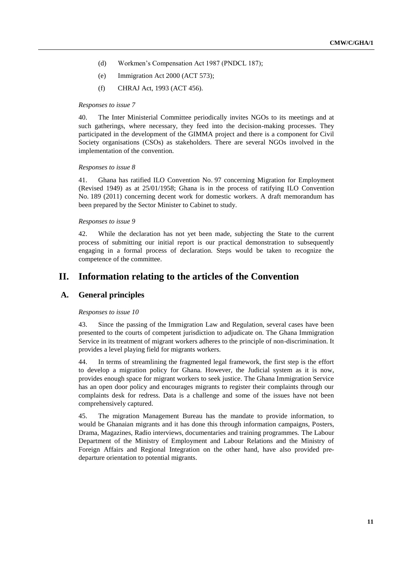- (d) Workmen's Compensation Act 1987 (PNDCL 187);
- (e) Immigration Act 2000 (ACT 573);
- (f) CHRAJ Act, 1993 (ACT 456).

### *Responses to issue 7*

40. The Inter Ministerial Committee periodically invites NGOs to its meetings and at such gatherings, where necessary, they feed into the decision-making processes. They participated in the development of the GIMMA project and there is a component for Civil Society organisations (CSOs) as stakeholders. There are several NGOs involved in the implementation of the convention.

### *Responses to issue 8*

41. Ghana has ratified ILO Convention No. 97 concerning Migration for Employment (Revised 1949) as at 25/01/1958; Ghana is in the process of ratifying ILO Convention No. 189 (2011) concerning decent work for domestic workers. A draft memorandum has been prepared by the Sector Minister to Cabinet to study.

#### *Responses to issue 9*

42. While the declaration has not yet been made, subjecting the State to the current process of submitting our initial report is our practical demonstration to subsequently engaging in a formal process of declaration. Steps would be taken to recognize the competence of the committee.

# **II. Information relating to the articles of the Convention**

# **A. General principles**

### *Responses to issue 10*

43. Since the passing of the Immigration Law and Regulation, several cases have been presented to the courts of competent jurisdiction to adjudicate on. The Ghana Immigration Service in its treatment of migrant workers adheres to the principle of non-discrimination. It provides a level playing field for migrants workers.

44. In terms of streamlining the fragmented legal framework, the first step is the effort to develop a migration policy for Ghana. However, the Judicial system as it is now, provides enough space for migrant workers to seek justice. The Ghana Immigration Service has an open door policy and encourages migrants to register their complaints through our complaints desk for redress. Data is a challenge and some of the issues have not been comprehensively captured.

45. The migration Management Bureau has the mandate to provide information, to would be Ghanaian migrants and it has done this through information campaigns, Posters, Drama, Magazines, Radio interviews, documentaries and training programmes. The Labour Department of the Ministry of Employment and Labour Relations and the Ministry of Foreign Affairs and Regional Integration on the other hand, have also provided predeparture orientation to potential migrants.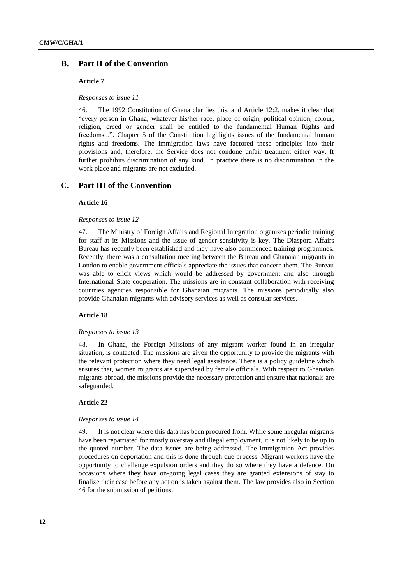# **B. Part II of the Convention**

### **Article 7**

*Responses to issue 11*

46. The 1992 Constitution of Ghana clarifies this, and Article 12:2, makes it clear that "every person in Ghana, whatever his/her race, place of origin, political opinion, colour, religion, creed or gender shall be entitled to the fundamental Human Rights and freedoms...". Chapter 5 of the Constitution highlights issues of the fundamental human rights and freedoms. The immigration laws have factored these principles into their provisions and, therefore, the Service does not condone unfair treatment either way. It further prohibits discrimination of any kind. In practice there is no discrimination in the work place and migrants are not excluded.

# **C. Part III of the Convention**

# **Article 16**

#### *Responses to issue 12*

47. The Ministry of Foreign Affairs and Regional Integration organizes periodic training for staff at its Missions and the issue of gender sensitivity is key. The Diaspora Affairs Bureau has recently been established and they have also commenced training programmes. Recently, there was a consultation meeting between the Bureau and Ghanaian migrants in London to enable government officials appreciate the issues that concern them. The Bureau was able to elicit views which would be addressed by government and also through International State cooperation. The missions are in constant collaboration with receiving countries agencies responsible for Ghanaian migrants. The missions periodically also provide Ghanaian migrants with advisory services as well as consular services.

### **Article 18**

### *Responses to issue 13*

48. In Ghana, the Foreign Missions of any migrant worker found in an irregular situation, is contacted .The missions are given the opportunity to provide the migrants with the relevant protection where they need legal assistance. There is a policy guideline which ensures that, women migrants are supervised by female officials. With respect to Ghanaian migrants abroad, the missions provide the necessary protection and ensure that nationals are safeguarded.

### **Article 22**

#### *Responses to issue 14*

49. It is not clear where this data has been procured from. While some irregular migrants have been repatriated for mostly overstay and illegal employment, it is not likely to be up to the quoted number. The data issues are being addressed. The Immigration Act provides procedures on deportation and this is done through due process. Migrant workers have the opportunity to challenge expulsion orders and they do so where they have a defence. On occasions where they have on-going legal cases they are granted extensions of stay to finalize their case before any action is taken against them. The law provides also in Section 46 for the submission of petitions.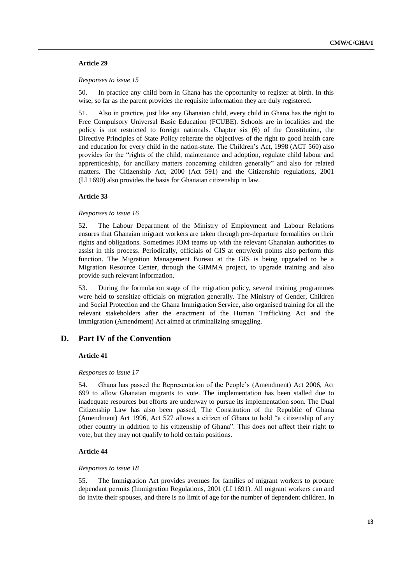# **Article 29**

#### *Responses to issue 15*

50. In practice any child born in Ghana has the opportunity to register at birth. In this wise, so far as the parent provides the requisite information they are duly registered.

51. Also in practice, just like any Ghanaian child, every child in Ghana has the right to Free Compulsory Universal Basic Education (FCUBE). Schools are in localities and the policy is not restricted to foreign nationals. Chapter six (6) of the Constitution, the Directive Principles of State Policy reiterate the objectives of the right to good health care and education for every child in the nation-state. The Children's Act, 1998 (ACT 560) also provides for the "rights of the child, maintenance and adoption, regulate child labour and apprenticeship, for ancillary matters concerning children generally" and also for related matters. The Citizenship Act, 2000 (Act 591) and the Citizenship regulations, 2001 (LI 1690) also provides the basis for Ghanaian citizenship in law.

### **Article 33**

#### *Responses to issue 16*

52. The Labour Department of the Ministry of Employment and Labour Relations ensures that Ghanaian migrant workers are taken through pre-departure formalities on their rights and obligations. Sometimes IOM teams up with the relevant Ghanaian authorities to assist in this process. Periodically, officials of GIS at entry/exit points also perform this function. The Migration Management Bureau at the GIS is being upgraded to be a Migration Resource Center, through the GIMMA project, to upgrade training and also provide such relevant information.

53. During the formulation stage of the migration policy, several training programmes were held to sensitize officials on migration generally. The Ministry of Gender, Children and Social Protection and the Ghana Immigration Service, also organised training for all the relevant stakeholders after the enactment of the Human Trafficking Act and the Immigration (Amendment) Act aimed at criminalizing smuggling.

# **D. Part IV of the Convention**

### **Article 41**

### *Responses to issue 17*

54. Ghana has passed the Representation of the People's (Amendment) Act 2006, Act 699 to allow Ghanaian migrants to vote. The implementation has been stalled due to inadequate resources but efforts are underway to pursue its implementation soon. The Dual Citizenship Law has also been passed, The Constitution of the Republic of Ghana (Amendment) Act 1996, Act 527 allows a citizen of Ghana to hold "a citizenship of any other country in addition to his citizenship of Ghana". This does not affect their right to vote, but they may not qualify to hold certain positions.

# **Article 44**

# *Responses to issue 18*

55. The Immigration Act provides avenues for families of migrant workers to procure dependant permits (Immigration Regulations, 2001 (LI 1691). All migrant workers can and do invite their spouses, and there is no limit of age for the number of dependent children. In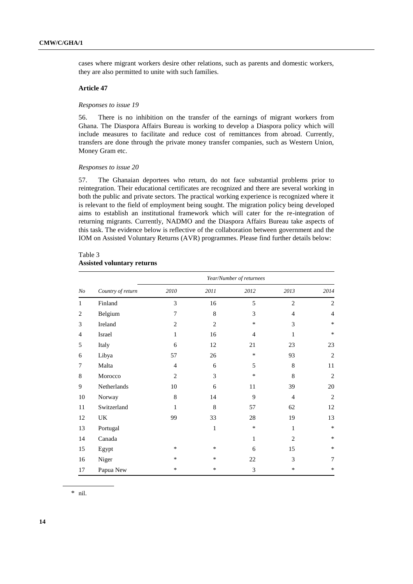cases where migrant workers desire other relations, such as parents and domestic workers, they are also permitted to unite with such families.

# **Article 47**

#### *Responses to issue 19*

56. There is no inhibition on the transfer of the earnings of migrant workers from Ghana. The Diaspora Affairs Bureau is working to develop a Diaspora policy which will include measures to facilitate and reduce cost of remittances from abroad. Currently, transfers are done through the private money transfer companies, such as Western Union, Money Gram etc.

### *Responses to issue 20*

57. The Ghanaian deportees who return, do not face substantial problems prior to reintegration. Their educational certificates are recognized and there are several working in both the public and private sectors. The practical working experience is recognized where it is relevant to the field of employment being sought. The migration policy being developed aims to establish an institutional framework which will cater for the re-integration of returning migrants. Currently, NADMO and the Diaspora Affairs Bureau take aspects of this task. The evidence below is reflective of the collaboration between government and the IOM on Assisted Voluntary Returns (AVR) programmes. Please find further details below:

# Table 3 **Assisted voluntary returns**

|                |                   | Year/Number of returnees |                |                |                |                |  |
|----------------|-------------------|--------------------------|----------------|----------------|----------------|----------------|--|
| N <sub>o</sub> | Country of return | 2010                     | 2011           | 2012           | 2013           | 2014           |  |
| 1              | Finland           | 3                        | 16             | 5              | $\overline{2}$ | 2              |  |
| $\overline{2}$ | Belgium           | 7                        | 8              | 3              | $\overline{4}$ | $\overline{4}$ |  |
| 3              | Ireland           | $\overline{2}$           | $\overline{c}$ | $\ast$         | 3              | $\ast$         |  |
| $\overline{4}$ | Israel            | $\mathbf{1}$             | 16             | $\overline{4}$ | 1              | $\ast$         |  |
| 5              | Italy             | 6                        | 12             | 21             | 23             | 23             |  |
| 6              | Libya             | 57                       | 26             | $\ast$         | 93             | $\overline{2}$ |  |
| 7              | Malta             | $\overline{4}$           | 6              | 5              | 8              | 11             |  |
| 8              | Morocco           | $\overline{2}$           | 3              | $\ast$         | 8              | $\overline{2}$ |  |
| 9              | Netherlands       | 10                       | 6              | 11             | 39             | 20             |  |
| 10             | Norway            | 8                        | 14             | 9              | $\overline{4}$ | 2              |  |
| 11             | Switzerland       | 1                        | 8              | 57             | 62             | 12             |  |
| 12             | UK                | 99                       | 33             | 28             | 19             | 13             |  |
| 13             | Portugal          |                          | $\mathbf{1}$   | $\ast$         | $\mathbf{1}$   | $\ast$         |  |
| 14             | Canada            |                          |                | $\mathbf{1}$   | $\overline{2}$ | $\ast$         |  |
| 15             | Egypt             | $\ast$                   | $\ast$         | 6              | 15             | $\ast$         |  |
| 16             | Niger             | *                        | $\ast$         | 22             | 3              | 7              |  |
| 17             | Papua New         | $\ast$                   | $\ast$         | 3              | ∗              | $\ast$         |  |

\* nil.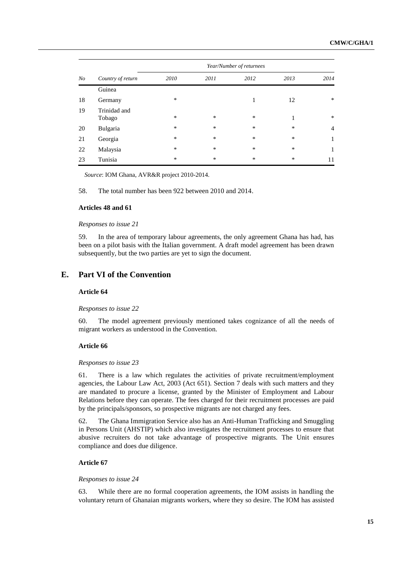| N <sub>O</sub> |                        | Year/Number of returnees |      |        |        |                |  |
|----------------|------------------------|--------------------------|------|--------|--------|----------------|--|
|                | Country of return      | 2010                     | 2011 | 2012   | 2013   | 2014           |  |
|                | Guinea                 |                          |      |        |        |                |  |
| 18             | Germany                | $\ast$                   |      | 1      | 12     | $\ast$         |  |
| 19             | Trinidad and<br>Tobago | *                        | *    | *      | 1      | $\ast$         |  |
| 20             | Bulgaria               | $\ast$                   | *    | $\ast$ | $\ast$ | $\overline{4}$ |  |
| 21             | Georgia                | $\ast$                   | *    | $\ast$ | *      | 1              |  |
| 22             | Malaysia               | $\ast$                   | *    | *      | *      | 1              |  |
| 23             | Tunisia                | $\ast$                   | *    | *      | *      | 11             |  |

*Source*: IOM Ghana, AVR&R project 2010-2014.

58. The total number has been 922 between 2010 and 2014.

### **Articles 48 and 61**

*Responses to issue 21*

59. In the area of temporary labour agreements, the only agreement Ghana has had, has been on a pilot basis with the Italian government. A draft model agreement has been drawn subsequently, but the two parties are yet to sign the document.

# **E. Part VI of the Convention**

## **Article 64**

#### *Responses to issue 22*

60. The model agreement previously mentioned takes cognizance of all the needs of migrant workers as understood in the Convention.

### **Article 66**

### *Responses to issue 23*

61. There is a law which regulates the activities of private recruitment/employment agencies, the Labour Law Act, 2003 (Act 651). Section 7 deals with such matters and they are mandated to procure a license, granted by the Minister of Employment and Labour Relations before they can operate. The fees charged for their recruitment processes are paid by the principals/sponsors, so prospective migrants are not charged any fees.

62. The Ghana Immigration Service also has an Anti-Human Trafficking and Smuggling in Persons Unit (AHSTIP) which also investigates the recruitment processes to ensure that abusive recruiters do not take advantage of prospective migrants. The Unit ensures compliance and does due diligence.

## **Article 67**

#### *Responses to issue 24*

63. While there are no formal cooperation agreements, the IOM assists in handling the voluntary return of Ghanaian migrants workers, where they so desire. The IOM has assisted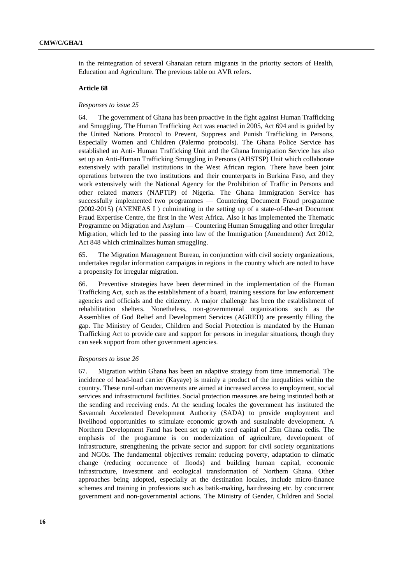in the reintegration of several Ghanaian return migrants in the priority sectors of Health, Education and Agriculture. The previous table on AVR refers.

### **Article 68**

### *Responses to issue 25*

64. The government of Ghana has been proactive in the fight against Human Trafficking and Smuggling. The Human Trafficking Act was enacted in 2005, Act 694 and is guided by the United Nations Protocol to Prevent, Suppress and Punish Trafficking in Persons, Especially Women and Children (Palermo protocols). The Ghana Police Service has established an Anti- Human Trafficking Unit and the Ghana Immigration Service has also set up an Anti-Human Trafficking Smuggling in Persons (AHSTSP) Unit which collaborate extensively with parallel institutions in the West African region. There have been joint operations between the two institutions and their counterparts in Burkina Faso, and they work extensively with the National Agency for the Prohibition of Traffic in Persons and other related matters (NAPTIP) of Nigeria. The Ghana Immigration Service has successfully implemented two programmes — Countering Document Fraud programme (2002-2015) (ANENEAS I ) culminating in the setting up of a state-of-the-art Document Fraud Expertise Centre, the first in the West Africa. Also it has implemented the Thematic Programme on Migration and Asylum — Countering Human Smuggling and other Irregular Migration, which led to the passing into law of the Immigration (Amendment) Act 2012, Act 848 which criminalizes human smuggling.

65. The Migration Management Bureau, in conjunction with civil society organizations, undertakes regular information campaigns in regions in the country which are noted to have a propensity for irregular migration.

66. Preventive strategies have been determined in the implementation of the Human Trafficking Act, such as the establishment of a board, training sessions for law enforcement agencies and officials and the citizenry. A major challenge has been the establishment of rehabilitation shelters. Nonetheless, non-governmental organizations such as the Assemblies of God Relief and Development Services (AGRED) are presently filling the gap. The Ministry of Gender, Children and Social Protection is mandated by the Human Trafficking Act to provide care and support for persons in irregular situations, though they can seek support from other government agencies.

#### *Responses to issue 26*

67. Migration within Ghana has been an adaptive strategy from time immemorial. The incidence of head-load carrier (Kayaye) is mainly a product of the inequalities within the country. These rural-urban movements are aimed at increased access to employment, social services and infrastructural facilities. Social protection measures are being instituted both at the sending and receiving ends. At the sending locales the government has instituted the Savannah Accelerated Development Authority (SADA) to provide employment and livelihood opportunities to stimulate economic growth and sustainable development. A Northern Development Fund has been set up with seed capital of 25m Ghana cedis. The emphasis of the programme is on modernization of agriculture, development of infrastructure, strengthening the private sector and support for civil society organizations and NGOs. The fundamental objectives remain: reducing poverty, adaptation to climatic change (reducing occurrence of floods) and building human capital, economic infrastructure, investment and ecological transformation of Northern Ghana. Other approaches being adopted, especially at the destination locales, include micro-finance schemes and training in professions such as batik-making, hairdressing etc. by concurrent government and non-governmental actions. The Ministry of Gender, Children and Social